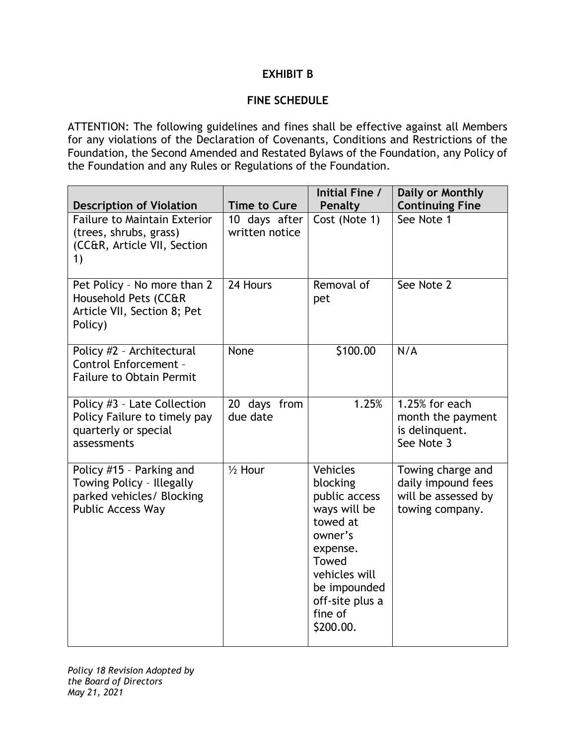## **EXHIBIT B**

## **FINE SCHEDULE**

ATTENTION: The following guidelines and fines shall be effective against all Members for any violations of the Declaration of Covenants, Conditions and Restrictions of the Foundation, the Second Amended and Restated Bylaws of the Foundation, any Policy of the Foundation and any Rules or Regulations of the Foundation.

| <b>Description of Violation</b>                                                                                | <b>Time to Cure</b>             | Initial Fine /<br><b>Penalty</b>                                                                                                                                                     | Daily or Monthly<br><b>Continuing Fine</b>                                        |
|----------------------------------------------------------------------------------------------------------------|---------------------------------|--------------------------------------------------------------------------------------------------------------------------------------------------------------------------------------|-----------------------------------------------------------------------------------|
| <b>Failure to Maintain Exterior</b><br>(trees, shrubs, grass)<br>(CC&R, Article VII, Section<br>1)             | 10 days after<br>written notice | Cost (Note 1)                                                                                                                                                                        | See Note 1                                                                        |
| Pet Policy - No more than 2<br>Household Pets (CC&R<br>Article VII, Section 8; Pet<br>Policy)                  | 24 Hours                        | Removal of<br>pet                                                                                                                                                                    | See Note 2                                                                        |
| Policy #2 - Architectural<br>Control Enforcement -<br><b>Failure to Obtain Permit</b>                          | None                            | \$100.00                                                                                                                                                                             | N/A                                                                               |
| Policy #3 - Late Collection<br>Policy Failure to timely pay<br>quarterly or special<br>assessments             | 20 days from<br>due date        | 1.25%                                                                                                                                                                                | 1.25% for each<br>month the payment<br>is delinquent.<br>See Note 3               |
| Policy #15 - Parking and<br>Towing Policy - Illegally<br>parked vehicles/ Blocking<br><b>Public Access Way</b> | $\frac{1}{2}$ Hour              | <b>Vehicles</b><br>blocking<br>public access<br>ways will be<br>towed at<br>owner's<br>expense.<br>Towed<br>vehicles will<br>be impounded<br>off-site plus a<br>fine of<br>\$200.00. | Towing charge and<br>daily impound fees<br>will be assessed by<br>towing company. |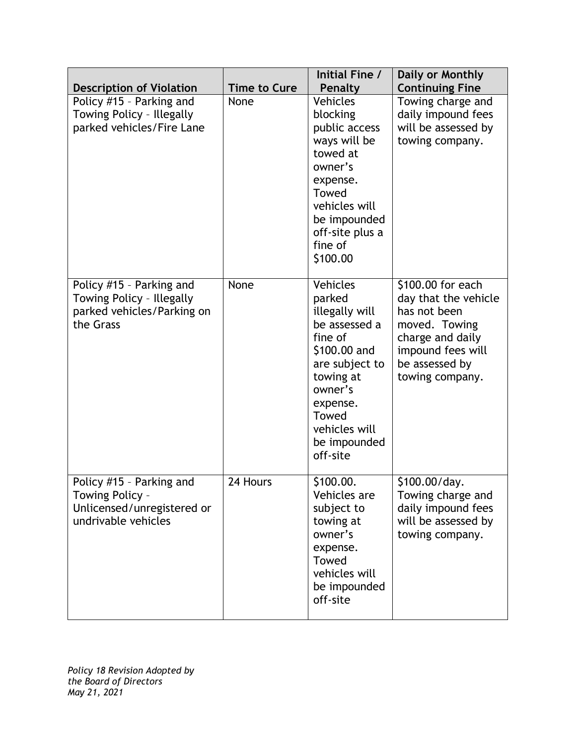| <b>Description of Violation</b>                                                                  | <b>Time to Cure</b> | Initial Fine /<br>Penalty                                                                                                                                                                    | Daily or Monthly<br><b>Continuing Fine</b>                                                                                                               |
|--------------------------------------------------------------------------------------------------|---------------------|----------------------------------------------------------------------------------------------------------------------------------------------------------------------------------------------|----------------------------------------------------------------------------------------------------------------------------------------------------------|
| Policy #15 - Parking and<br>Towing Policy - Illegally<br>parked vehicles/Fire Lane               | None                | <b>Vehicles</b><br>blocking<br>public access<br>ways will be<br>towed at<br>owner's<br>expense.<br>Towed<br>vehicles will<br>be impounded<br>off-site plus a<br>fine of<br>\$100.00          | Towing charge and<br>daily impound fees<br>will be assessed by<br>towing company.                                                                        |
| Policy #15 - Parking and<br>Towing Policy - Illegally<br>parked vehicles/Parking on<br>the Grass | None                | Vehicles<br>parked<br>illegally will<br>be assessed a<br>fine of<br>\$100.00 and<br>are subject to<br>towing at<br>owner's<br>expense.<br>Towed<br>vehicles will<br>be impounded<br>off-site | \$100.00 for each<br>day that the vehicle<br>has not been<br>moved. Towing<br>charge and daily<br>impound fees will<br>be assessed by<br>towing company. |
| Policy #15 - Parking and<br>Towing Policy -<br>Unlicensed/unregistered or<br>undrivable vehicles | 24 Hours            | \$100.00.<br>Vehicles are<br>subject to<br>towing at<br>owner's<br>expense.<br>Towed<br>vehicles will<br>be impounded<br>off-site                                                            | \$100.00/day.<br>Towing charge and<br>daily impound fees<br>will be assessed by<br>towing company.                                                       |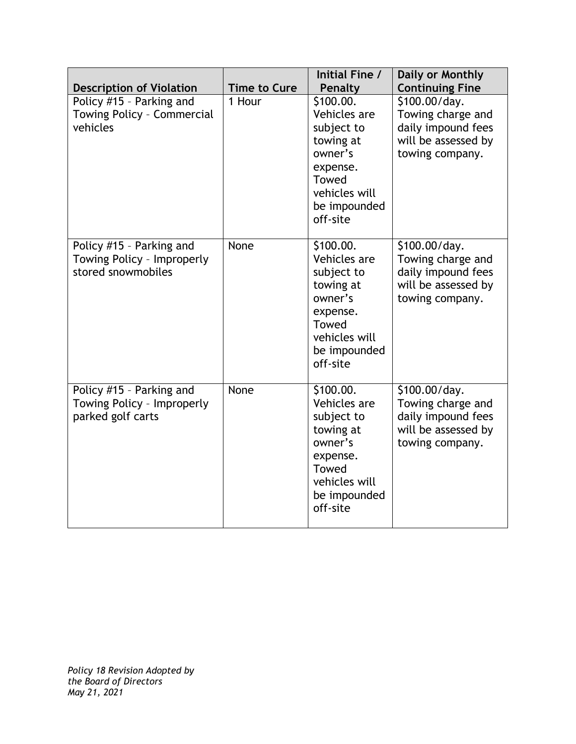| <b>Description of Violation</b>                                              | <b>Time to Cure</b> | Initial Fine /<br><b>Penalty</b>                                                                                                  | Daily or Monthly<br><b>Continuing Fine</b>                                                         |
|------------------------------------------------------------------------------|---------------------|-----------------------------------------------------------------------------------------------------------------------------------|----------------------------------------------------------------------------------------------------|
| Policy #15 - Parking and<br>Towing Policy - Commercial<br>vehicles           | 1 Hour              | \$100.00.<br>Vehicles are<br>subject to<br>towing at<br>owner's<br>expense.<br>Towed<br>vehicles will<br>be impounded<br>off-site | \$100.00/day.<br>Towing charge and<br>daily impound fees<br>will be assessed by<br>towing company. |
| Policy #15 - Parking and<br>Towing Policy - Improperly<br>stored snowmobiles | None                | \$100.00.<br>Vehicles are<br>subject to<br>towing at<br>owner's<br>expense.<br>Towed<br>vehicles will<br>be impounded<br>off-site | \$100.00/day.<br>Towing charge and<br>daily impound fees<br>will be assessed by<br>towing company. |
| Policy #15 - Parking and<br>Towing Policy - Improperly<br>parked golf carts  | None                | \$100.00.<br>Vehicles are<br>subject to<br>towing at<br>owner's<br>expense.<br>Towed<br>vehicles will<br>be impounded<br>off-site | \$100.00/day.<br>Towing charge and<br>daily impound fees<br>will be assessed by<br>towing company. |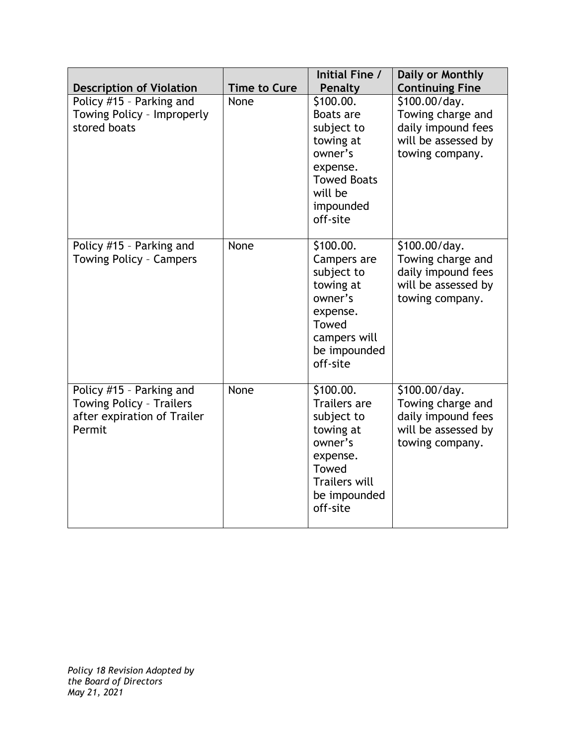| <b>Description of Violation</b>                                                               | <b>Time to Cure</b> | Initial Fine /<br><b>Penalty</b>                                                                                                                | Daily or Monthly<br><b>Continuing Fine</b>                                                         |
|-----------------------------------------------------------------------------------------------|---------------------|-------------------------------------------------------------------------------------------------------------------------------------------------|----------------------------------------------------------------------------------------------------|
| Policy #15 - Parking and<br>Towing Policy - Improperly<br>stored boats                        | None                | \$100.00.<br>Boats are<br>subject to<br>towing at<br>owner's<br>expense.<br><b>Towed Boats</b><br>will be<br>impounded<br>off-site              | \$100.00/day.<br>Towing charge and<br>daily impound fees<br>will be assessed by<br>towing company. |
| Policy #15 - Parking and<br><b>Towing Policy - Campers</b>                                    | None                | \$100.00.<br>Campers are<br>subject to<br>towing at<br>owner's<br>expense.<br>Towed<br>campers will<br>be impounded<br>off-site                 | \$100.00/day.<br>Towing charge and<br>daily impound fees<br>will be assessed by<br>towing company. |
| Policy #15 - Parking and<br>Towing Policy - Trailers<br>after expiration of Trailer<br>Permit | None                | \$100.00.<br><b>Trailers</b> are<br>subject to<br>towing at<br>owner's<br>expense.<br>Towed<br><b>Trailers will</b><br>be impounded<br>off-site | \$100.00/day.<br>Towing charge and<br>daily impound fees<br>will be assessed by<br>towing company. |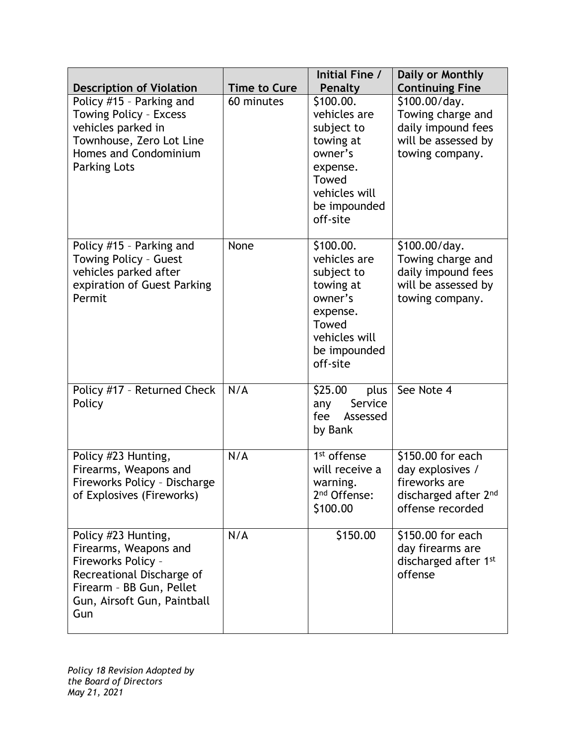| <b>Description of Violation</b>                                                                                                                                   | <b>Time to Cure</b> | Initial Fine /<br>Penalty                                                                                                         | Daily or Monthly<br><b>Continuing Fine</b>                                                         |
|-------------------------------------------------------------------------------------------------------------------------------------------------------------------|---------------------|-----------------------------------------------------------------------------------------------------------------------------------|----------------------------------------------------------------------------------------------------|
| Policy #15 - Parking and<br>Towing Policy - Excess<br>vehicles parked in<br>Townhouse, Zero Lot Line<br>Homes and Condominium<br><b>Parking Lots</b>              | 60 minutes          | \$100.00.<br>vehicles are<br>subject to<br>towing at<br>owner's<br>expense.<br>Towed<br>vehicles will<br>be impounded<br>off-site | \$100.00/day.<br>Towing charge and<br>daily impound fees<br>will be assessed by<br>towing company. |
| Policy #15 - Parking and<br>Towing Policy - Guest<br>vehicles parked after<br>expiration of Guest Parking<br>Permit                                               | None                | \$100.00.<br>vehicles are<br>subject to<br>towing at<br>owner's<br>expense.<br>Towed<br>vehicles will<br>be impounded<br>off-site | \$100.00/day.<br>Towing charge and<br>daily impound fees<br>will be assessed by<br>towing company. |
| Policy #17 - Returned Check<br>Policy                                                                                                                             | N/A                 | \$25.00<br>plus<br>Service<br>any<br>fee<br>Assessed<br>by Bank                                                                   | See Note 4                                                                                         |
| Policy #23 Hunting,<br>Firearms, Weapons and<br>Fireworks Policy - Discharge<br>of Explosives (Fireworks)                                                         | N/A                 | 1 <sup>st</sup> offense<br>will receive a<br>warning.<br>2 <sup>nd</sup> Offense:<br>\$100.00                                     | \$150.00 for each<br>day explosives /<br>fireworks are<br>discharged after 2nd<br>offense recorded |
| Policy #23 Hunting,<br>Firearms, Weapons and<br>Fireworks Policy -<br>Recreational Discharge of<br>Firearm - BB Gun, Pellet<br>Gun, Airsoft Gun, Paintball<br>Gun | N/A                 | \$150.00                                                                                                                          | \$150.00 for each<br>day firearms are<br>discharged after 1 <sup>st</sup><br>offense               |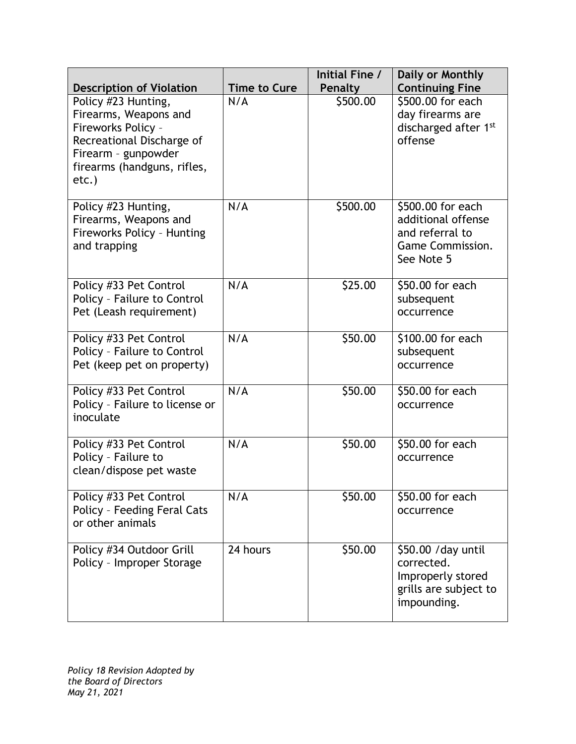| <b>Description of Violation</b>                                                                                                                                | <b>Time to Cure</b> | Initial Fine /<br><b>Penalty</b> | Daily or Monthly<br><b>Continuing Fine</b>                                                          |
|----------------------------------------------------------------------------------------------------------------------------------------------------------------|---------------------|----------------------------------|-----------------------------------------------------------------------------------------------------|
| Policy #23 Hunting,<br>Firearms, Weapons and<br>Fireworks Policy -<br>Recreational Discharge of<br>Firearm - gunpowder<br>firearms (handguns, rifles,<br>etc.) | N/A                 | \$500.00                         | \$500.00 for each<br>day firearms are<br>discharged after 1st<br>offense                            |
| Policy #23 Hunting,<br>Firearms, Weapons and<br>Fireworks Policy - Hunting<br>and trapping                                                                     | N/A                 | \$500.00                         | \$500.00 for each<br>additional offense<br>and referral to<br><b>Game Commission.</b><br>See Note 5 |
| Policy #33 Pet Control<br>Policy - Failure to Control<br>Pet (Leash requirement)                                                                               | N/A                 | \$25.00                          | \$50.00 for each<br>subsequent<br>occurrence                                                        |
| Policy #33 Pet Control<br>Policy - Failure to Control<br>Pet (keep pet on property)                                                                            | N/A                 | \$50.00                          | \$100.00 for each<br>subsequent<br>occurrence                                                       |
| Policy #33 Pet Control<br>Policy - Failure to license or<br>inoculate                                                                                          | N/A                 | \$50.00                          | \$50.00 for each<br>occurrence                                                                      |
| Policy #33 Pet Control<br>Policy - Failure to<br>clean/dispose pet waste                                                                                       | N/A                 | \$50.00                          | \$50.00 for each<br>occurrence                                                                      |
| Policy #33 Pet Control<br>Policy - Feeding Feral Cats<br>or other animals                                                                                      | N/A                 | \$50.00                          | \$50.00 for each<br>occurrence                                                                      |
| Policy #34 Outdoor Grill<br>Policy - Improper Storage                                                                                                          | 24 hours            | \$50.00                          | \$50.00 / day until<br>corrected.<br>Improperly stored<br>grills are subject to<br>impounding.      |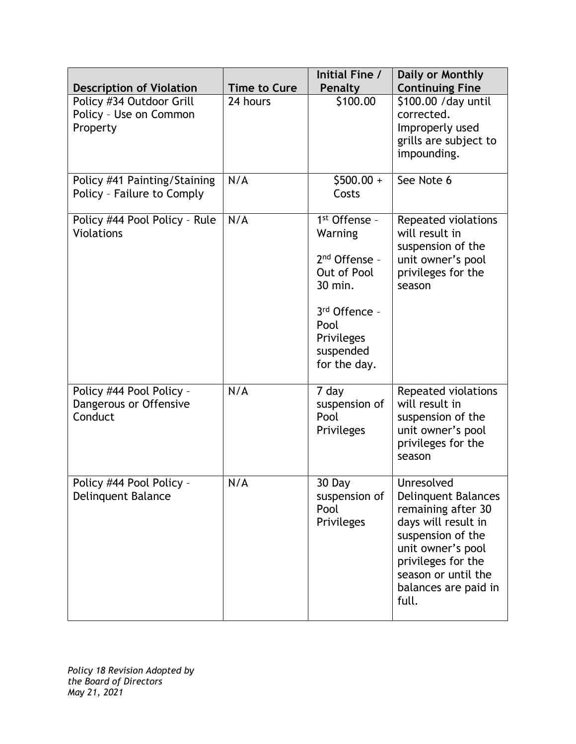| <b>Description of Violation</b>                                | <b>Time to Cure</b> | Initial Fine /<br>Penalty                                                                                                                             | Daily or Monthly<br><b>Continuing Fine</b>                                                                                                                                                                    |
|----------------------------------------------------------------|---------------------|-------------------------------------------------------------------------------------------------------------------------------------------------------|---------------------------------------------------------------------------------------------------------------------------------------------------------------------------------------------------------------|
| Policy #34 Outdoor Grill<br>Policy - Use on Common<br>Property | 24 hours            | \$100.00                                                                                                                                              | \$100.00 / day until<br>corrected.<br>Improperly used<br>grills are subject to<br>impounding.                                                                                                                 |
| Policy #41 Painting/Staining<br>Policy - Failure to Comply     | N/A                 | $$500.00 +$<br>Costs                                                                                                                                  | See Note 6                                                                                                                                                                                                    |
| Policy #44 Pool Policy - Rule<br><b>Violations</b>             | N/A                 | 1 <sup>st</sup> Offense -<br>Warning<br>$2nd$ Offense -<br>Out of Pool<br>30 min.<br>3rd Offence -<br>Pool<br>Privileges<br>suspended<br>for the day. | Repeated violations<br>will result in<br>suspension of the<br>unit owner's pool<br>privileges for the<br>season                                                                                               |
| Policy #44 Pool Policy -<br>Dangerous or Offensive<br>Conduct  | N/A                 | 7 day<br>suspension of<br>Pool<br>Privileges                                                                                                          | Repeated violations<br>will result in<br>suspension of the<br>unit owner's pool<br>privileges for the<br>season                                                                                               |
| Policy #44 Pool Policy -<br>Delinquent Balance                 | N/A                 | 30 Day<br>suspension of<br>Pool<br>Privileges                                                                                                         | Unresolved<br><b>Delinquent Balances</b><br>remaining after 30<br>days will result in<br>suspension of the<br>unit owner's pool<br>privileges for the<br>season or until the<br>balances are paid in<br>full. |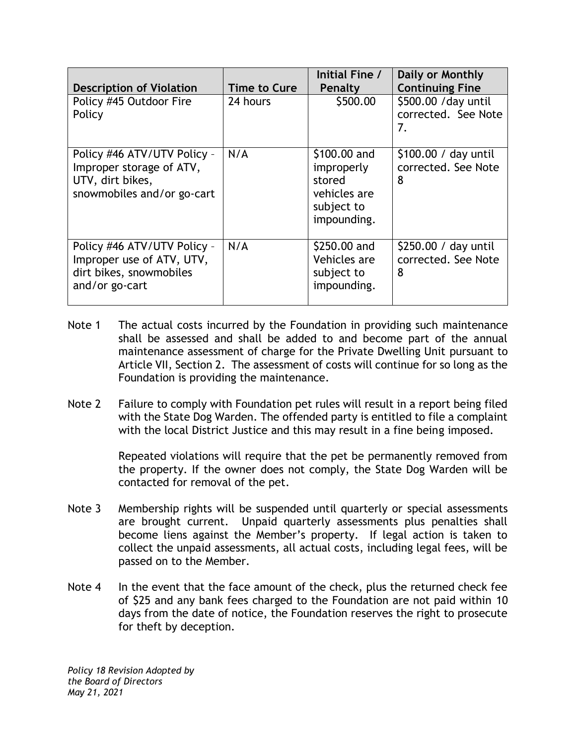| <b>Description of Violation</b>                                                                           | Time to Cure | Initial Fine /<br>Penalty                                                         | Daily or Monthly<br><b>Continuing Fine</b>        |
|-----------------------------------------------------------------------------------------------------------|--------------|-----------------------------------------------------------------------------------|---------------------------------------------------|
| Policy #45 Outdoor Fire<br>Policy                                                                         | 24 hours     | \$500.00                                                                          | \$500.00 / day until<br>corrected. See Note<br>7. |
| Policy #46 ATV/UTV Policy -<br>Improper storage of ATV,<br>UTV, dirt bikes,<br>snowmobiles and/or go-cart | N/A          | \$100.00 and<br>improperly<br>stored<br>vehicles are<br>subject to<br>impounding. | \$100.00 / day until<br>corrected. See Note<br>8  |
| Policy #46 ATV/UTV Policy -<br>Improper use of ATV, UTV,<br>dirt bikes, snowmobiles<br>and/or go-cart     | N/A          | \$250.00 and<br>Vehicles are<br>subject to<br>impounding.                         | \$250.00 / day until<br>corrected. See Note<br>8  |

- Note 1 The actual costs incurred by the Foundation in providing such maintenance shall be assessed and shall be added to and become part of the annual maintenance assessment of charge for the Private Dwelling Unit pursuant to Article VII, Section 2. The assessment of costs will continue for so long as the Foundation is providing the maintenance.
- Note 2 Failure to comply with Foundation pet rules will result in a report being filed with the State Dog Warden. The offended party is entitled to file a complaint with the local District Justice and this may result in a fine being imposed.

Repeated violations will require that the pet be permanently removed from the property. If the owner does not comply, the State Dog Warden will be contacted for removal of the pet.

- Note 3 Membership rights will be suspended until quarterly or special assessments are brought current. Unpaid quarterly assessments plus penalties shall become liens against the Member's property. If legal action is taken to collect the unpaid assessments, all actual costs, including legal fees, will be passed on to the Member.
- Note 4 In the event that the face amount of the check, plus the returned check fee of \$25 and any bank fees charged to the Foundation are not paid within 10 days from the date of notice, the Foundation reserves the right to prosecute for theft by deception.